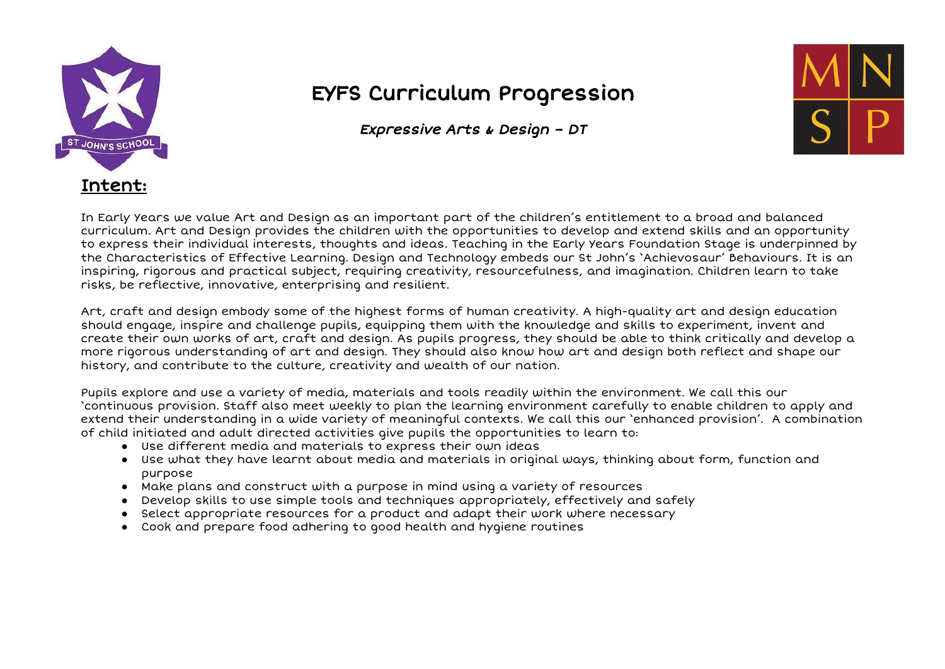

## EYFS Curriculum Progression

Expressive Arts & Design – DT



In Early Years we value Art and Design as an important part of the children's entitlement to a broad and balanced curriculum. Art and Design provides the children with the opportunities to develop and extend skills and an opportunity to express their individual interests, thoughts and ideas. Teaching in the Early Years Foundation Stage is underpinned by the Characteristics of Effective Learning. Design and Technology embeds our St John's 'Achievosaur' Behaviours. It is an inspiring, rigorous and practical subject, requiring creativity, resourcefulness, and imagination. Children learn to take risks, be reflective, innovative, enterprising and resilient.

Art, craft and design embody some of the highest forms of human creativity. A high-quality art and design education should engage, inspire and challenge pupils, equipping them with the knowledge and skills to experiment, invent and create their own works of art, craft and design. As pupils progress, they should be able to think critically and develop a more rigorous understanding of art and design. They should also know how art and design both reflect and shape our history, and contribute to the culture, creativity and wealth of our nation.

Pupils explore and use a variety of media, materials and tools readily within the environment. We call this our 'continuous provision. Staff also meet weekly to plan the learning environment carefully to enable children to apply and extend their understanding in a wide variety of meaningful contexts. We call this our 'enhanced provision'. A combination of child initiated and adult directed activities give pupils the opportunities to learn to:

- Use different media and materials to express their own ideas
- Use what they have learnt about media and materials in original ways, thinking about form, function and purpose
- Make plans and construct with a purpose in mind using a variety of resources
- Develop skills to use simple tools and techniques appropriately, effectively and safely
- Select appropriate resources for a product and adapt their work where necessary
- Cook and prepare food adhering to good health and hygiene routines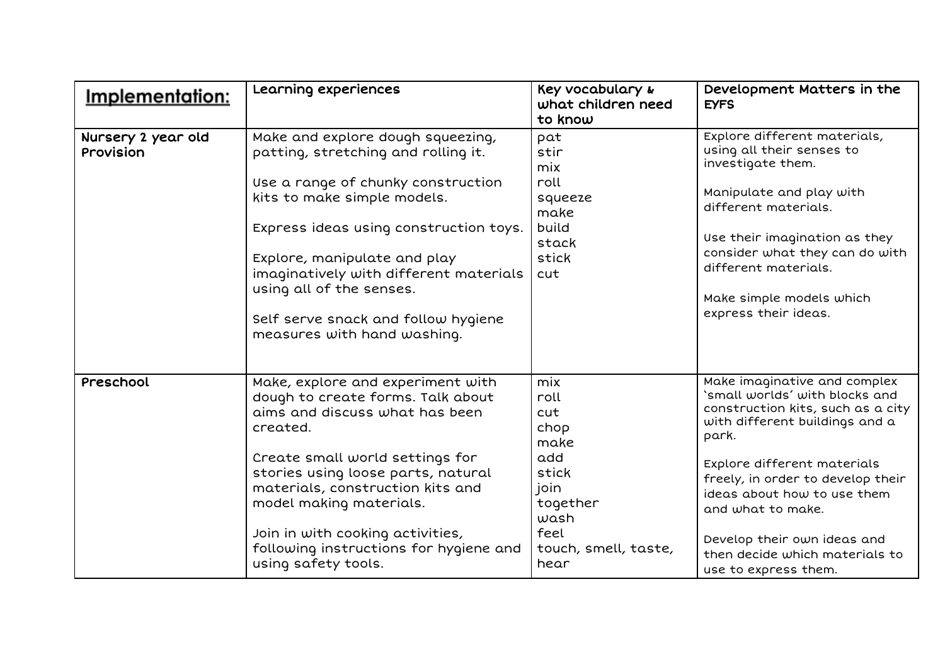| <u>Implementation:</u>          | Learning experiences                                                                                                                                                                                                                                                                                                                                                | Key vocabulary &<br>what children need<br>to know                                                                      | Development Matters in the<br><b>EYFS</b>                                                                                                                                                                                                                                                                                                                       |
|---------------------------------|---------------------------------------------------------------------------------------------------------------------------------------------------------------------------------------------------------------------------------------------------------------------------------------------------------------------------------------------------------------------|------------------------------------------------------------------------------------------------------------------------|-----------------------------------------------------------------------------------------------------------------------------------------------------------------------------------------------------------------------------------------------------------------------------------------------------------------------------------------------------------------|
| Nursery 2 year old<br>Provision | Make and explore dough squeezing,<br>patting, stretching and rolling it.<br>Use a range of chunky construction<br>kits to make simple models.<br>Express ideas using construction toys.<br>Explore, manipulate and play<br>imaginatively with different materials<br>using all of the senses.<br>Self serve snack and follow hygiene<br>measures with hand washing. | pat<br>stir<br>mix<br>roll<br>squeeze<br>make<br>build<br>stack<br>stick<br>cut                                        | Explore different materials,<br>using all their senses to<br>investigate them.<br>Manipulate and play with<br>different materials.<br>Use their imagination as they<br>consider what they can do with<br>different materials.<br>Make simple models which<br>express their ideas.                                                                               |
| Preschool                       | Make, explore and experiment with<br>dough to create forms. Talk about<br>aims and discuss what has been<br>created.<br>Create small world settings for<br>stories using loose parts, natural<br>materials, construction kits and<br>model making materials.<br>Join in with cooking activities,<br>following instructions for hygiene and<br>using safety tools.   | mix<br>roll<br>cut<br>chop<br>make<br>add<br>stick<br>join<br>together<br>wash<br>feel<br>touch, smell, taste,<br>hear | Make imaginative and complex<br>`small worlds' with blocks and<br>construction kits, such as a city<br>with different buildings and a<br>park.<br>Explore different materials<br>freely, in order to develop their<br>ideas about how to use them<br>and what to make.<br>Develop their own ideas and<br>then decide which materials to<br>use to express them. |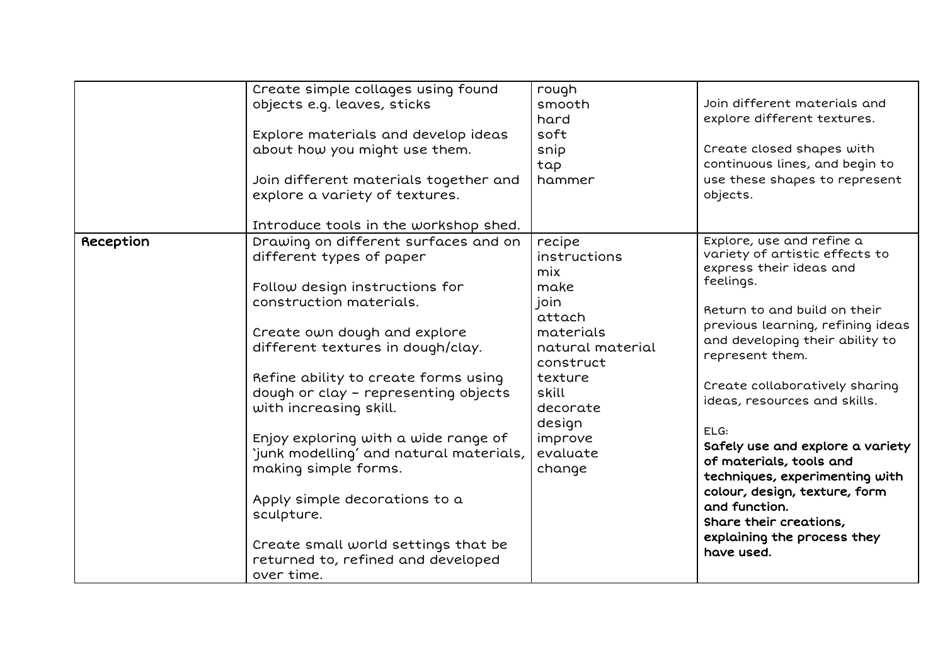|           | Create simple collages using found<br>objects e.g. leaves, sticks<br>Explore materials and develop ideas<br>about how you might use them.<br>Join different materials together and<br>explore a variety of textures.                                                                                                                                                                                                                                                                                                                                                                                       | rough<br>smooth<br>hard<br>soft<br>snip<br>tap<br>hammer                                                                                                                         | Join different materials and<br>explore different textures.<br>Create closed shapes with<br>continuous lines, and begin to<br>use these shapes to represent<br>objects.                                                                                                                                                                                                                                                                                                                                                            |
|-----------|------------------------------------------------------------------------------------------------------------------------------------------------------------------------------------------------------------------------------------------------------------------------------------------------------------------------------------------------------------------------------------------------------------------------------------------------------------------------------------------------------------------------------------------------------------------------------------------------------------|----------------------------------------------------------------------------------------------------------------------------------------------------------------------------------|------------------------------------------------------------------------------------------------------------------------------------------------------------------------------------------------------------------------------------------------------------------------------------------------------------------------------------------------------------------------------------------------------------------------------------------------------------------------------------------------------------------------------------|
| Reception | Introduce tools in the workshop shed.<br>Drawing on different surfaces and on<br>different types of paper<br>Follow design instructions for<br>construction materials.<br>Create own dough and explore<br>different textures in dough/clay.<br>Refine ability to create forms using<br>dough or clay - representing objects<br>with increasing skill.<br>Enjoy exploring with a wide range of<br>'junk modelling' and natural materials,<br>making simple forms.<br>Apply simple decorations to a<br>sculpture.<br>Create small world settings that be<br>returned to, refined and developed<br>over time. | recipe<br>instructions<br>mix<br>make<br>join<br>attach<br>materials<br>natural material<br>construct<br>texture<br>skill<br>decorate<br>design<br>improve<br>evaluate<br>change | Explore, use and refine a<br>variety of artistic effects to<br>express their ideas and<br>feelings.<br>Return to and build on their<br>previous learning, refining ideas<br>and developing their ability to<br>represent them.<br>Create collaboratively sharing<br>ideas, resources and skills.<br>ELG:<br>Safely use and explore a variety<br>of materials, tools and<br>techniques, experimenting with<br>colour, design, texture, form<br>and function.<br>Share their creations,<br>explaining the process they<br>have used. |